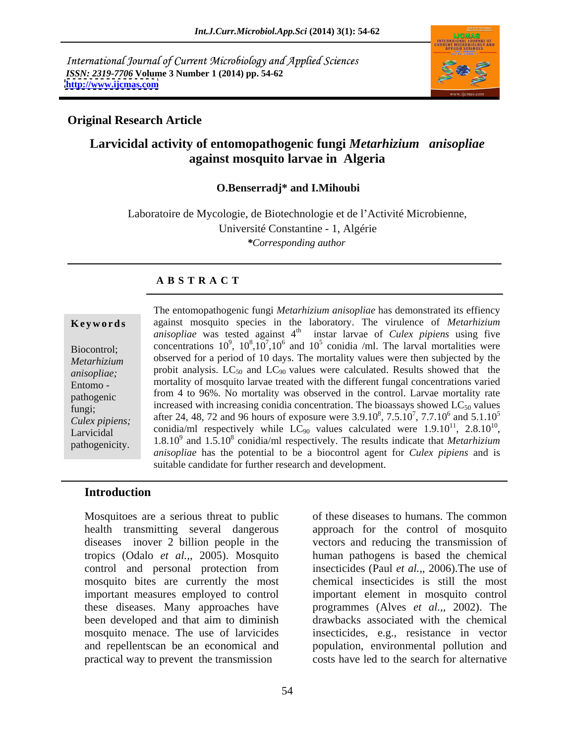International Journal of Current Microbiology and Applied Sciences *ISSN: 2319-7706* **Volume 3 Number 1 (2014) pp. 54-62 <http://www.ijcmas.com>**



## **Original Research Article**

## **Larvicidal activity of entomopathogenic fungi** *Metarhizium anisopliae* **against mosquito larvae in Algeria**

## **O.Benserradj\* and I.Mihoubi**

Laboratoire de Mycologie, de Biotechnologie et de l'Activité Microbienne, Université Constantine - 1, Algérie *\*Corresponding author* 

## **A B S T R A C T**

**Keywords** against mosquito species in the laboratory. The virulence of *Metarhizium* Biocontrol; concentrations  $10^9$ ,  $10^8$ ,  $10^7$ ,  $10^6$  and  $10^5$  conidia /ml. The larval mortalities were *Metarhizium* **observed for a period of 10 days. The mortality values were then subjected by the** *anisopliae*; probit analysis. LC<sub>50</sub> and LC<sub>90</sub> values were calculated. Results showed that the Entomo - mortality of mosquito larvae treated with the different fungal concentrations varied pathogenic from 4 to 96%. No mortality was observed in the control. Larvae mortality rate fungi;<br>
increased with increasing conidia concentration. The bioassays showed  $LC_{50}$  values *Culex pipiens;* after 24, 48, 72 and 96 hours of exposure were  $3.9.10^8$ ,  $7.5.10^7$ ,  $7.7.10^6$  and  $5.1.10^5$ Larvicidal conidia/ml respectively while  $LC_{90}$  values calculated were  $1.9.10^{11}$ ,  $2.8.10^{10}$ , Larvicidal conidia/ml respectively while  $LC_{90}$  values calculated were  $1.9 \cdot 10^{11}$ ,  $2.8 \cdot 10^{10}$ ,  $2.8 \cdot 10^{10}$ ,  $2.8 \cdot 10^{10}$ ,  $2.8 \cdot 10^{10}$ ,  $2.8 \cdot 10^{10}$ ,  $2.8 \cdot 10^{10}$ ,  $2.8 \cdot 10^{10}$ ,  $2.8 \cdot 10^{10}$ ,  $2.8 \$ The entomopathogenic fungi *Metarhizium anisopliae* has demonstrated its effiency *anisopliae* was tested against 4 th instar larvae of *Culex pipiens* using five  $7.7710^6$  and  $5.110^5$ ,  $7.7.10^6$  and  $5.1.10^5$  $^6$  and  $\leq 1.10^5$ and  $5.1.10^5$ 5  $11 \quad 2.8 \quad 10^{10}$  $, 2.8.10^{10},$ 10 *anisopliae* has the potential to be a biocontrol agent for *Culex pipiens* and is suitable candidate for further research and development.

## **Introduction**

Mosquitoes are a serious threat to public control and personal protection from mosquito bites are currently the most these diseases. Many approaches have been developed and that aim to diminish and repellentscan be an economical and practical way to prevent the transmission

health transmitting several dangerous approach for the control of mosquito diseases inover 2 billion people in the vectors and reducing the transmission of tropics (Odalo *et al.,*, 2005). Mosquito human pathogens is based the chemical important measures employed to control important element in mosquito control mosquito menace. The use of larvicides insecticides, e.g., resistance in vector of these diseases to humans. The common insecticides (Paul *et al.,*, 2006).The use of chemical insecticides is still the most programmes (Alves *et al.,*, 2002). The drawbacks associated with the chemical population, environmental pollution and costs have led to the search for alternative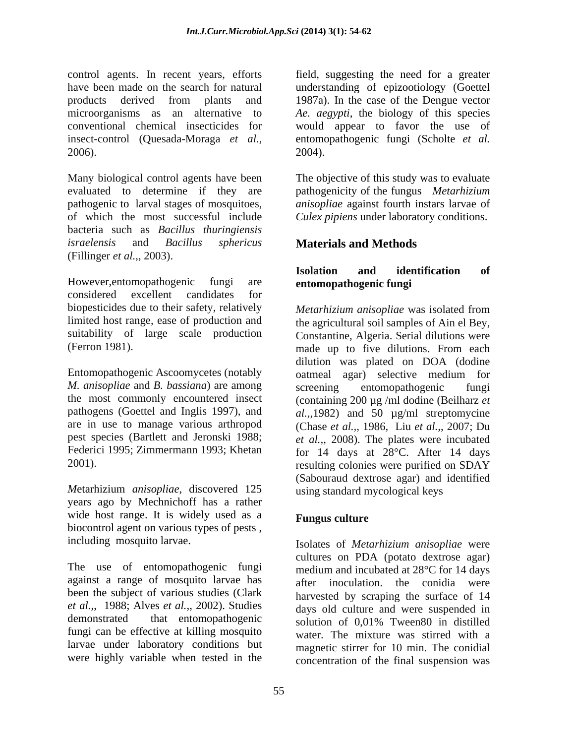control agents. In recent years, efforts field, suggesting the need for a greater have been made on the search for natural understanding of epizootiology (Goettel products derived from plants and 1987a). In the case of the Dengue vector microorganisms as an alternative to *Ae. aegypti*, the biology of this species conventional chemical insecticides for would appear to favor the use of insect-control (Quesada-Moraga *et al.,* entomopathogenic fungi (Scholte *et al.*  $2006$ ).  $2004$ ).

Many biological control agents have been The objective of this study was to evaluate evaluated to determine if they are pathogenic to larval stages of mosquitoes, *anisopliae* against fourth instars larvae of of which the most successful include *Culex pipiens* under laboratory conditions. bacteria such as *Bacillus thuringiensis israelensis* and *Bacillus sphericus* **Materials and Methods** (Fillinger *et al.,*, 2003).

However,entomopathogenic fungi are **entomopathogenic fungi**  considered excellent candidates for biopesticides due to their safety, relatively *Metarhizium anisopliae* was isolated from (Ferron 1981). made up to five dilutions. From each

Entomopathogenic Ascoomycetes (notably oatmeal agar) selective medium for *M. anisopliae* and *B. bassiana*) are among

*M*etarhizium *anisopliae*, discovered 125 years ago by Mechnichoff has a rather wide host range. It is widely used as a Fungus culture biocontrol agent on various types of pests , including mosquito larvae.

The use of entomopathogenic fungi against a range of mosquito larvae has been the subject of various studies (Clark *et al.,*, 1988; Alves *et al.,*, 2002). Studies demonstrated that entomopathogenic solution of 0.01% Tween80 in distilled larvae under laboratory conditions but were highly variable when tested in the

1987a). In the case of the Dengue vector 2004).

pathogenicity of the fungus *Metarhizium* 

# **Isolation and identification of**

limited host range, ease of production and the agricultural soil samples of Ain el Bey, suitability of large scale production Constantine, Algeria. Serial dilutions were the most commonly encountered insect (containing 200 µg /ml dodine (Beilharz *et*  pathogens (Goettel and Inglis 1997), and  $al.,1982$  and 50 µg/ml streptomycine are in use to manage various arthropod (Chase *et al.,*, 1986, Liu *et al.,*, 2007; Du pest species (Bartlett and Jeronski 1988; *et al.,*, 2008). The plates were incubated Federici 1995; Zimmermann 1993; Khetan for 14 days at 28 °C. After 14 days 2001). resulting colonies were purified on SDAY *Metarhizium anisopliae* was isolated from made up to five dilutions. From each dilution was plated on DOA (dodine oatmeal agar) selective medium for screening entomopathogenic fungi (Sabouraud dextrose agar) and identified using standard mycological keys

## **Fungus culture**

fungi can be effective at killing mosquito water. The mixture was stirred with a Isolates of *Metarhizium anisopliae* were cultures on PDA (potato dextrose agar) medium and incubated at 28°C for 14 days after inoculation. the conidia were harvested by scraping the surface of 14 days old culture and were suspended in solution of 0,01% Tween80 in distilled magnetic stirrer for 10 min. The conidial concentration of the final suspension was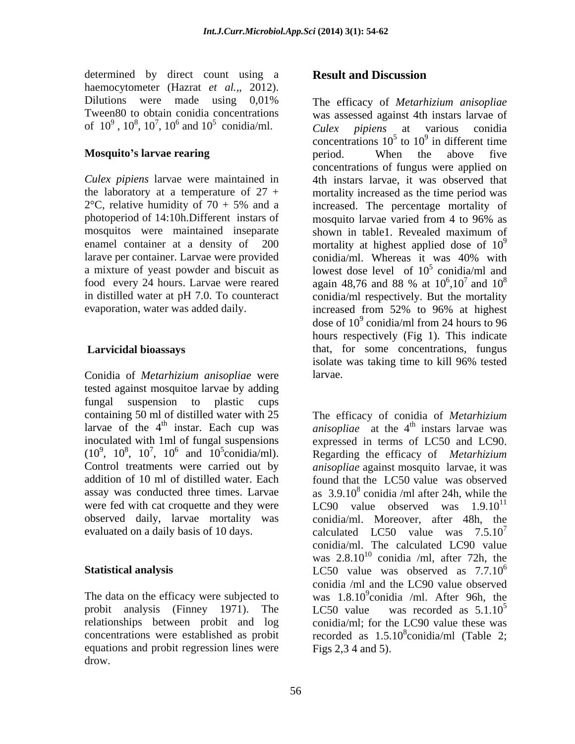determined by direct count using a **Result and Discussion** haemocytometer (Hazrat *et al.,*, 2012).<br>Dilutions were made using 0,01% The efficacy of *Metarhizium anisopliae* 

photoperiod of 14:10h.Different instars of larave per container. Larvae were provided conidia/ml. Whereas it was 40% with food every 24 hours. Larvae were reared again 48,76 and 88 % at  $10^6$ ,10<sup>7</sup> and  $10^8$ evaporation, water was added daily. The increased from 52% to 96% at highest

Conidia of *Metarhizium anisopliae* were tested against mosquitoe larvae by adding fungal suspension to plastic cups inoculated with 1ml of fungal suspensions expressed in terms of LC50 and LC90.

The data on the efficacy were subjected to probit analysis (Finney 1971). The LC50 value was recorded as  $5.1.10^{5}$ relationships between probit and log equations and probit regression lines were drow.

## **Result and Discussion**

Tween80 to obtain conidia concentrations was assessed against 4th instars larvae of of  $10^9$ ,  $10^8$ ,  $10^7$ ,  $10^6$  and  $10^5$  conidia/ml. Culex pipiens at various conidia  $(10^6 \text{ and } 10^5 \text{ conidia/ml})$   $Culex$  pipiens at various conidia and  $10^5$  conidia/ml.  $Culex$  *pipiens* at various conidia Culex pipiens at various conidia **Mosquito's larvae rearing** example in the series when the above five *Culex pipiens* larvae were maintained in 4th instars larvae, it was observed that the laboratory at a temperature of  $27 +$  mortality increased as the time period was  $2^{\circ}$ C, relative humidity of 70 + 5% and a increased. The percentage mortality of mosquitos were maintained inseparate shown in table1. Revealed maximum of enamel container at a density of  $200$  mortality at highest applied dose of  $10^9$ a mixture of yeast powder and biscuit as  $\qquad \qquad$  lowest dose level of  $10^5$  conidia/ml and in distilled water at pH 7.0. To counteract conidia/ml respectively. But the mortality  **Larvicidal bioassays** that, for some concentrations, fungus The efficacy of *Metarhizium anisopliae Culex pipiens* at various conidia concentrations  $10^5$  to  $10^9$  in different time to  $10^9$  in different time  $9$  in different time in different time period. When the above five concentrations of fungus were applied on increased. The percentage mortality of mosquito larvae varied from 4 to 96% as 9 conidia/ml. Whereas it was 40% with  $5$  conidia ml and conidia/ml and again 48,76 and 88 % at  $10^{\circ}, 10^{\prime}$  and  $10^{\circ}$  $6 \frac{10^{7}}{2}$  and  $10^{8}$  $,10^7$  and  $10^8$ 8 increased from 52% to 96% at highest dose of  $10^9$  conidia/ml from 24 hours to 96 hours respectively (Fig 1). This indicate isolate was taking time to kill 96% tested larvae.

containing 50 ml of distilled water with 25 The efficacy of conidia of *Metarhizium*  larvae of the  $4<sup>th</sup>$  instar. Each cup was *anisopliae* at the  $4<sup>th</sup>$  instars larvae was  $(10^9, 10^8, 10^7, 10^6$  and  $10^5$ conidia/ml). Regarding the efficacy of *Metarhizium* ,  $10^8$ ,  $10^7$ ,  $10^6$  and  $10^5$ conidia/ml). Regarding the efficacy of *Metarhizium* Control treatments were carried out by *anisopliae* against mosquito larvae, it was addition of 10 ml of distilled water. Each found that the LC50 value was observed assay was conducted three times. Larvae  $\qquad$  as  $3.9.10^8$  conidia /ml after 24h, while the were fed with cat croquette and they were  $LCOO$  value observed was  $1.9.10^{11}$ observed daily, larvae mortality was conidia/ml. Moreover, after 48h, the evaluated on a daily basis of 10 days.  $\qquad \qquad$  calculated LC50 value was  $7.5.10^7$ **Statistical analysis** LC50 value was observed as 7.7.10 concentrations were established as probit recorded as  $1.5.10<sup>8</sup>$ conidia/ml (Table 2; <sup>th</sup> instars larvae was expressed in terms of LC50 and LC90. Regarding the efficacy of *Metarhizium*  11 7 conidia/ml. The calculated LC90 value was  $2.8 \cdot 10^{10}$  conidia /ml, after 72h, the 6 conidia /ml and the LC90 value observed was 1.8.10 9 conidia /ml. After 96h, the LC50 value was recorded as  $5.1.10^5$  $5<sub>5</sub>$ conidia/ml; for the LC90 value these was Figs 2,3 4 and 5).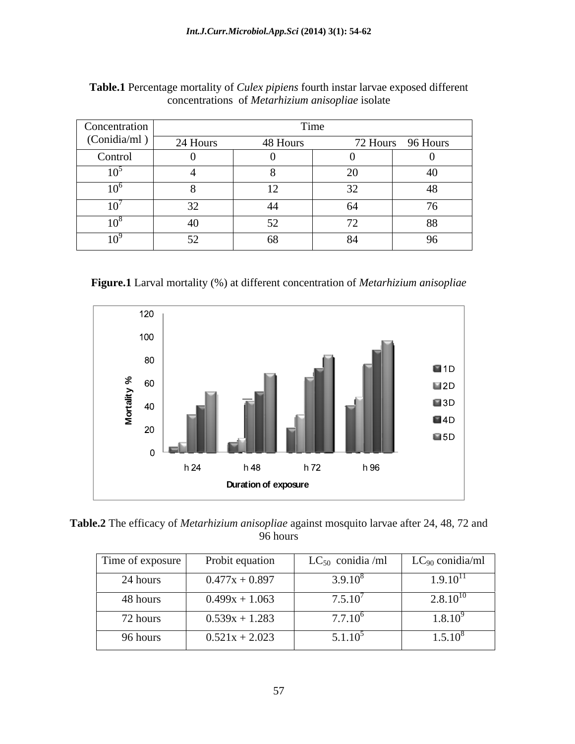| Concentration | Time                                          |          |                   |     |
|---------------|-----------------------------------------------|----------|-------------------|-----|
| (Conidia/ml)  | 24 Hours                                      | 48 Hours | 72 Hours 96 Hours |     |
| Control       |                                               |          |                   |     |
| 10            |                                               |          | $\cap$<br>$\sim$  |     |
| $10^{\circ}$  |                                               |          | $\sim$ $\sim$     | 48. |
| 10            | ىدر                                           |          | -64               | 76  |
| $10^8$        | 40                                            |          | $\overline{ }$    | 88  |
| $10^{\circ}$  | $\ddot{\phantom{1}}$<br>$\tilde{\phantom{a}}$ | 6۶       | -84               | 96  |

**Table.1** Percentage mortality of *Culex pipiens* fourth instar larvae exposed different concentrations of *Metarhizium anisopliae* isolate

**Figure.1** Larval mortality (%) at different concentration of *Metarhizium anisopliae*



**Table.2** The efficacy of *Metarhizium anisopliae* against mosquito larvae after 24, 48, 72 and 96 hours

| Time of exposure | Probit equation  | $LC_{50}$ conidia /ml | $LC_{90}$ conidia/ml |
|------------------|------------------|-----------------------|----------------------|
| 24 hours         | $0.477x + 0.897$ | $3.9.10^{8}$          | $1.9.10^{11}$        |
| 48 hours         | $0.499x + 1.063$ | $7.5.10^{4}$          | $2.8.10^{10}$        |
| 72 hours         | $0.539x + 1.283$ | $7.7.10^{6}$          | $1.8.10^{9}$         |
| 96 hours         | $0.521x + 2.023$ | $5.1.10^3$            | $1.5.10^8$           |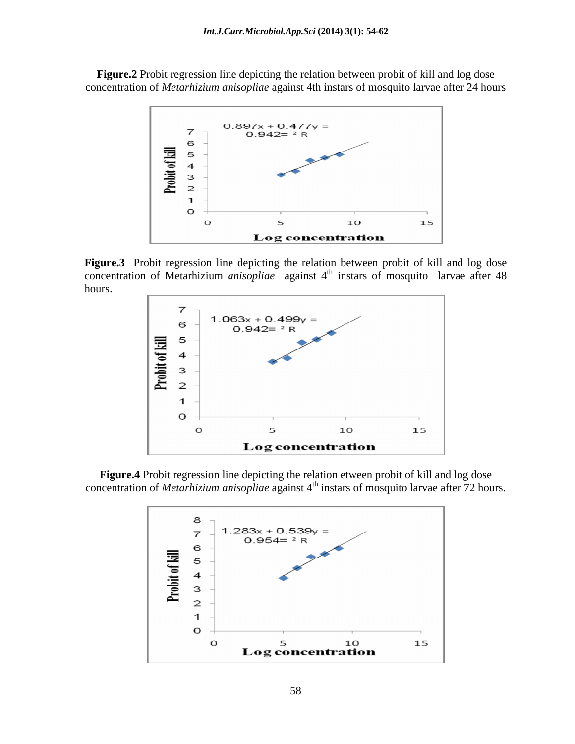**Figure.2** Probit regression line depicting the relation between probit of kill and log dose concentration of *Metarhizium anisopliae* against 4th instars of mosquito larvae after 24 hours



**Figure.3** Probit regression line depicting the relation between probit of kill and log dose concentration of Metarhizium *anisopliae* against 4<sup>th</sup> instars of mosquito larvae after 48 hours.



**Figure.4** Probit regression line depicting the relation etween probit of kill and log dose concentration of *Metarhizium anisopliae* against 4<sup>th</sup> instars of mosquito larvae after 72 hours.

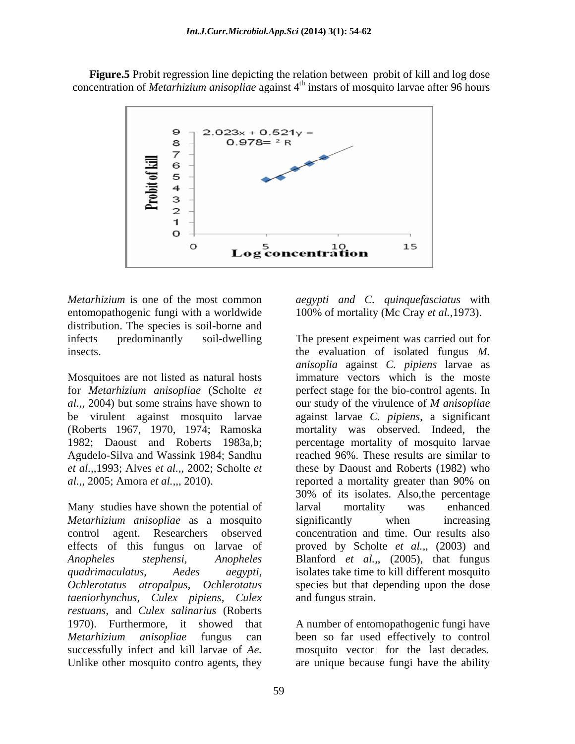**Figure.5** Probit regression line depicting the relation between probit of kill and log dose concentration of *Metarhizium anisopliae* against 4<sup>th</sup> instars of mosquito larvae after 96 hours



*Metarhizium* is one of the most common *aegypti and C. quinquefasciatus* with entomopathogenic fungi with a worldwide 100% of mortality (Mc Cray *et al.,*1973). distribution. The species is soil-borne and

Mosquitoes are not listed as natural hosts *al.,*, 2004) but some strains have shown to be virulent against mosquito larvae Agudelo-Silva and Wassink 1984; Sandhu *et al.,*,1993; Alves *et al.,*, 2002; Scholte *et al.,*, 2005; Amora *et al.,*,, 2010).

Many studies have shown the potential of larval mortality was enhanced *Metarhizium anisopliae* as a mosquito *taeniorhynchus, Culex pipiens, Culex restuans*, and *Culex salinarius* (Roberts 1970). Furthermore, it showed that A number of entomopathogenic fungi have *Metarhizium anisopliae* fungus can been so far used effectively to control successfully infect and kill larvae of *Ae.*  mosquito vector for the last decades. Unlike other mosquito contro agents, they are unique because fungi have the ability

infects predominantly soil-dwelling The present expeiment was carried out for insects. the evaluation of isolated fungus *M.*  for *Metarhizium anisopliae* (Scholte *et*  perfect stage for the bio-control agents. In (Roberts 1967, 1970, 1974; Ramoska mortality was observed. Indeed, the 1982; Daoust and Roberts 1983a,b; percentage mortality of mosquito larvae control agent. Researchers observed concentration and time. Our results also effects of this fungus on larvae of proved by Scholte *et al.,*, (2003) and *Anopheles stephensi, Anopheles* Blanford *et al.,*,(2005), that fungus *quadrimaculatus, Aedes aegypti,* isolates take time to kill different mosquito *Ochlerotatus atropalpus, Ochlerotatus*  species but that depending upon the dose *anisoplia* against *C. pipiens* larvae as immature vectors which is the moste our study of the virulence of *M anisopliae* against larvae *C. pipiens*, a significant reached 96%. These results are similar to these by Daoust and Roberts (1982) who reported a mortality greater than 90% on 30% of its isolates. Also,the percentage larval mortality was enhanced significantly when increasing and fungus strain.

59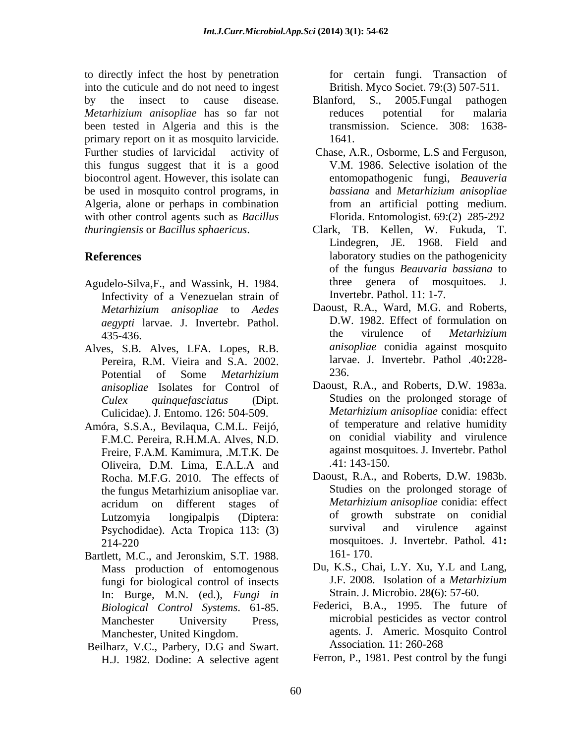to directly infect the host by penetration into the cuticule and do not need to ingest by the insect to cause disease. Blanford, S., 2005. Fungal pathogen *Metarhizium anisopliae* has so far not been tested in Algeria and this is the primary report on it as mosquito larvicide. 1641. Further studies of larvicidal activity of Chase, A.R., Osborme, L.S and Ferguson, this fungus suggest that it is a good biocontrol agent. However, this isolate can be used in mosquito control programs, in Algeria, alone or perhaps in combination with other control agents such as *Bacillus thuringiensis* or *Bacillus sphaericus*. Clark, TB. Kellen, W. Fukuda, T.

- Infectivity of a Venezuelan strain of *Metarhizium anisopliae* to *Aedes aegypti* larvae. J. Invertebr. Pathol. D.W. 1982. Effect of the virulence of
- Alves, S.B. Alves, LFA. Lopes, R.B. Pereira, R.M. Vieira and S.A. 2002. larva<br>Potential of Some *Metarhizium* 236. Potential of Some *Metarhizium anisopliae* Isolates for Control of Culicidae). J*.* Entomo. 126: 504-509.
- Amóra, S.S.A., Bevilaqua, C.M.L. Feijó, F.M.C. Pereira, R.H.M.A. Alves, N.D. Freire, F.A.M. Kamimura, .M.T.K. De against mosque of the same of the same of the same of the Secondity of the S<br>Oliveira D.M. Lima E.A.L.A. and .41:143-150. Oliveira, D.M. Lima, E.A.L.A and .41:143-150.<br>Rocha M.E.G. 2010 The effects of Daoust, R.A., and Roberts, D.W. 1983b. the fungus Metarhizium anisopliae var.
- Bartlett, M.C., and Jeronskim, S.T. 1988. fungi for biological control of insects In: Burge, M.N. (ed.), *Fungi in Biological Control Systems*. 61-85.
- Beilharz, V.C., Parbery, D.G and Swart. Association. 11: 260-268 H.J. 1982. Dodine: A selective agent

for certain fungi. Transaction of British. Myco Societ. 79:(3) 507-511.

- Blanford, S., 2005.Fungal pathogen reduces potential for malaria Science. 308: 1638-1641.
- V.M. 1986. Selective isolation of the entomopathogenic fungi, *Beauveria bassiana* and *Metarhizium anisopliae* from an artificial potting medium. Florida. Entomologist*.* 69:(2) 285-292
- **References** and **References** and *References* and *References* and *References* and *References* and *References* and *References* and *References* and *References* and *References* and *References* and *References* and Agudelo-Silva, F., and Wassink, H. 1984. https://www.threegenerage.com/mosquitoes. J. Lindegren, JE. 1968. Field and of the fungus *Beauvaria bassiana* to genera of mosquitoes. Invertebr. Pathol. 11: 1-7.
	- 435-436. **Example 12 and 135-436** the virulence of *Metarhizium* Daoust, R.A., Ward, M.G. and Roberts, D.W. 1982. Effect of formulation on the virulence of *Metarhizium anisopliae* conidia against mosquito larvae. J. Invertebr. Pathol *.*40**:**228- 236.
	- *Culex quinquefasciatus* (Dipt. Studies on the prolonged storage of Daoust, R.A., and Roberts, D.W. 1983a. *Metarhizium anisopliae* conidia: effect of temperature and relative humidity on conidial viability and virulence against mosquitoes. J. Invertebr. Pathol *.*41: 143-150.
	- Rocha. M.F.G. 2010. The effects of Daoust, R.A., and Roberts, D.W. 1983b.<br>the fungus Metarhizium anisonliae var. Studies on the prolonged storage of acridum on different stages of *Metarhizium anisopliae* conidia: effect Lutzomyia longipalpis (Diptera: Psychodidae). Acta Tropica 113: (3) survival and virulence against 214-220 mosquitoes. J. Invertebr. Pathol*.* 41**:** Daoust, R.A., and Roberts, D.W. 1983b. Studies on the prolonged storage of *Metarhizium anisopliae* conidia: effect of growth substrate on conidial survival and virulence against 161- 170.
	- Mass production of entomogenous Du, K.S., Chai, L.Y. Xu, Y.L and Lang,<br>fungi for biological control of insects J.F. 2008. Isolation of a *Metarhizium* Du, K.S., Chai, L.Y. Xu, Y.L and Lang, J.F. 2008. Isolation of a *Metarhizium* Strain. J. Microbio. 28**(**6): 57-60.
	- Manchester University Press, microbial pesticides as vector control Manchester, United Kingdom. agents. J. Americ. Mosquito Control Federici, B.A., 1995. The future of Association*.* 11: 260-268

Ferron, P., 1981. Pest control by the fungi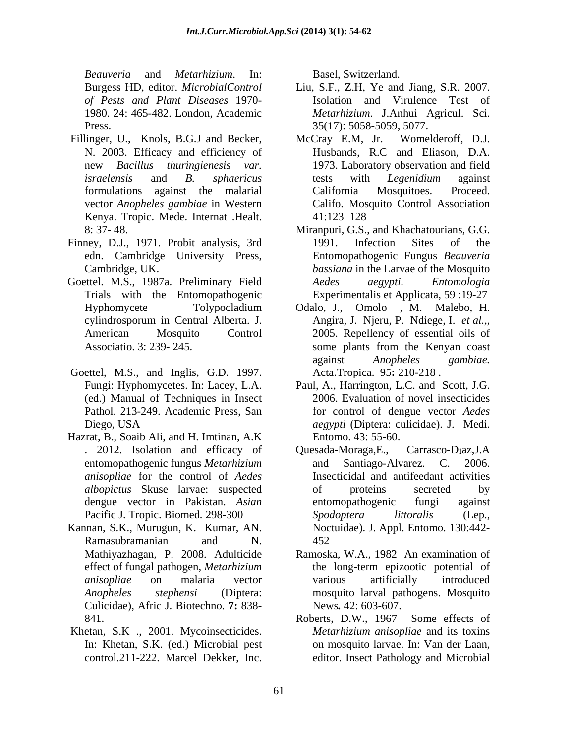*Beauveria* and *Metarhizium*. In: *of Pests and Plant Diseases* 1970-

- vector *Anopheles gambiae* in Western Kenya. Tropic. Mede. Internat .Healt.
- Finney, D.J., 1971. Probit analysis, 3rd 1991. Infection Sites of the
- Goettel. M.S., 1987a. Preliminary Field Aedes aegypti. Entomologia
- Goettel, M.S., and Inglis, G.D. 1997. (ed.) Manual of Techniques in Insect
- Hazrat, B., Soaib Ali, and H. Imtinan, A.K
- Culicidae), Afric J. Biotechno. **7:** 838-
- In: Khetan, S.K. (ed.) Microbial pest control.211-222. Marcel Dekker, Inc.

- Burgess HD, editor. *MicrobialControl*  Liu, S.F., Z.H, Ye and Jiang, S.R. 2007. 1980. 24: 465-482. London, Academic *Metarhizium*. J.Anhui Agricul. Sci. Press. 35(17): 5058-5059, 5077. Isolation and Virulence Test of
- Fillinger, U., Knols, B.G.J and Becker, McCray E.M, Jr. Womelderoff, D.J. N. 2003. Efficacy and efficiency of Husbands, R.C and Eliason, D.A. new *Bacillus thuringienesis var.* 1973. Laboratory observation and field *israelensis* and *B. sphaericus* formulations against the malarial California Mosquitoes. Proceed. McCray E.M, Jr. Womelderoff, D.J. tests with *Legenidium* against California Mosquitoes. Proceed. Califo. Mosquito Control Association 41:123–128
	- 8: 37- 48. Miranpuri, G.S., and Khachatourians, G.G. edn. Cambridge University Press, Entomopathogenic Fungus *Beauveria*  Cambridge, UK. *bassiana* in the Larvae of the Mosquito Trials with the Entomopathogenic Experimentalis et Applicata, 59 :19-27 1991. Infection Sites of the *Aedes aegypti. Entomologia*
	- Hyphomycete Tolypocladium Odalo, J., Omolo , M. Malebo, H. cylindrosporum in Central Alberta. J. Angira, J. Njeru, P. Ndiege, I. *et al.,*, American Mosquito Control 2005. Repellency of essential oils of Associatio. 3: 239- 245. Some plants from the Kenyan coast some plants from the Kenyan coast against *Anopheles gambiae.* Acta.Tropica. 95**:** 210-218 .
	- Fungi: Hyphomycetes. In: Lacey, L.A. Paul, A., Harrington, L.C. and Scott, J.G. Pathol. 213-249. Academic Press, San for control of dengue vector *Aedes*  Diego, USA *aegypti* (Diptera: culicidae). J. Medi. 2006. Evaluation of novel insecticides Entomo. 43: 55-60.
- . 2012. Isolation and efficacy of Quesada-Moraga, E., Carrasco-Diaz, J.A entomopathogenic fungus *Metarhizium anisopliae* for the control of *Aedes albopictus* Skuse larvae: suspected dengue vector in Pakistan. *Asian* entomopathogenic fungi against Pacific J. Tropic. Biomed. 298-300 Spodoptera littoralis (Lep., Kannan, S.K., Murugun, K. Kumar, AN. Noctuidae). J. Appl. Entomo. 130:442- Ramasubramanian and N. 452 Revention and Mechanical methodics. In: Fasch, Switzerland. The resume and Finders and Finders and Finders and Finders and Finders and Finders and Finders and Finders and Finders and Finders and Finders and Books and Books Quesada-Moraga, E., Carrasco-Diaz, J.A and Santiago-Alvarez. C. 2006. Insecticidal and antifeedant activities of proteins secreted by entomopathogenic fungi against *Spodoptera littoralis* (Lep., 452
	- Mathiyazhagan, P. 2008. Adulticide Ramoska, W.A., 1982 An examination of effect of fungal pathogen, *Metarhizium anisopliae* on malaria vector *Anopheles stephensi* (Diptera: mosquito larval pathogens. Mosquito the long-term epizootic potential of various artificially introduced News*.* 42: 603-607.
- 841. Roberts, D.W., 1967 Some effects of Khetan, S.K., 2001. Mycoinsecticides. *Metarhizium anisopliae* and its toxins *Metarhizium anisopliae* and its toxins on mosquito larvae. In: Van der Laan, editor. Insect Pathology and Microbial